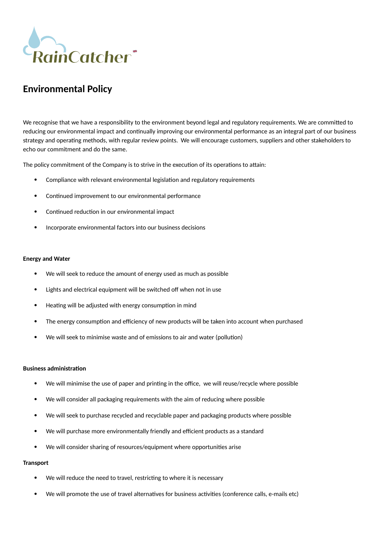

# **Environmental Policy**

We recognise that we have a responsibility to the environment beyond legal and regulatory requirements. We are committed to reducing our environmental impact and continually improving our environmental performance as an integral part of our business strategy and operating methods, with regular review points. We will encourage customers, suppliers and other stakeholders to echo our commitment and do the same.

The policy commitment of the Company is to strive in the execution of its operations to attain:

- Compliance with relevant environmental legislation and regulatory requirements
- Continued improvement to our environmental performance
- Continued reduction in our environmental impact
- Incorporate environmental factors into our business decisions

#### **Energy and Water**

- We will seek to reduce the amount of energy used as much as possible
- Lights and electrical equipment will be switched off when not in use
- Heating will be adjusted with energy consumption in mind
- The energy consumption and efficiency of new products will be taken into account when purchased
- We will seek to minimise waste and of emissions to air and water (pollution)

## **Business administration**

- We will minimise the use of paper and printing in the office, we will reuse/recycle where possible
- We will consider all packaging requirements with the aim of reducing where possible
- We will seek to purchase recycled and recyclable paper and packaging products where possible
- We will purchase more environmentally friendly and efficient products as a standard
- We will consider sharing of resources/equipment where opportunities arise

## **Transport**

- We will reduce the need to travel, restricting to where it is necessary
- We will promote the use of travel alternatives for business activities (conference calls, e-mails etc)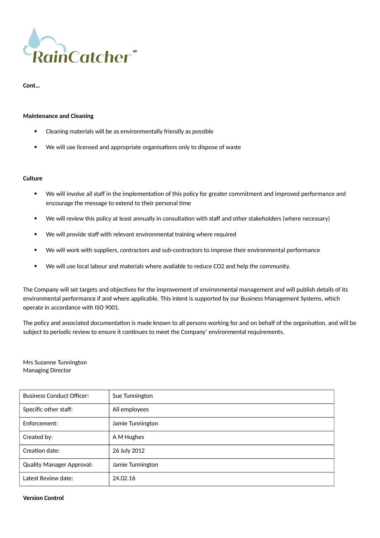

**Cont…**

## **Maintenance and Cleaning**

- Cleaning materials will be as environmentally friendly as possible
- We will use licensed and appropriate organisations only to dispose of waste

## **Culture**

- We will involve all staff in the implementation of this policy for greater commitment and improved performance and encourage the message to extend to their personal time
- We will review this policy at least annually in consultation with staff and other stakeholders (where necessary)
- We will provide staff with relevant environmental training where required
- We will work with suppliers, contractors and sub-contractors to improve their environmental performance
- We will use local labour and materials where available to reduce CO2 and help the community.

The Company will set targets and objectives for the improvement of environmental management and will publish details of its environmental performance if and where applicable. This intent is supported by our Business Management Systems, which operate in accordance with ISO 9001.

The policy and associated documentation is made known to all persons working for and on behalf of the organisation, and will be subject to periodic review to ensure it continues to meet the Company' environmental requirements*.*

Mrs Suzanne Tunnington Managing Director

| <b>Business Conduct Officer:</b> | Sue Tunnington   |
|----------------------------------|------------------|
| Specific other staff:            | All employees    |
| Enforcement:                     | Jamie Tunnington |
| Created by:                      | A M Hughes       |
| Creation date:                   | 26 July 2012     |
| <b>Quality Manager Approval:</b> | Jamie Tunnington |
| Latest Review date:              | 24.02.16         |

#### **Version Control**